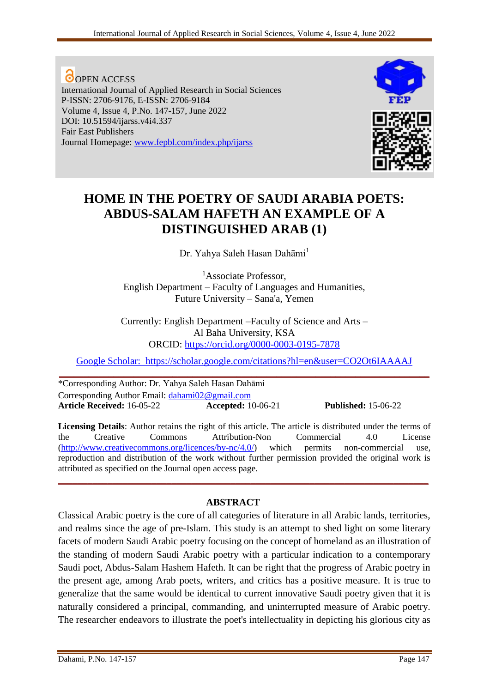**O**OPEN ACCESS International Journal of Applied Research in Social Sciences P-ISSN: 2706-9176, E-ISSN: 2706-9184 Volume 4, Issue 4, P.No. 147-157, June 2022 DOI: 10.51594/ijarss.v4i4.337 Fair East Publishers Journal Homepage: [www.fepbl.com/index.php/ijarss](http://www.fepbl.com/index.php/ijarss)



# **HOME IN THE POETRY OF SAUDI ARABIA POETS: ABDUS-SALAM HAFETH AN EXAMPLE OF A DISTINGUISHED ARAB (1)**

Dr. Yahya Saleh Hasan Dahāmi<sup>1</sup>

<sup>1</sup>Associate Professor, English Department – Faculty of Languages and Humanities, Future University – Sana'a, Yemen

Currently: English Department –Faculty of Science and Arts – Al Baha University, KSA [ORCID:](https://orcid.org/0000-0003-0195-7878) https://orcid.org/0000-0003-0195-7878

[Google Scholar:](Google%20Scholar:%20%20) [https://scholar.google.com/citations?hl=en&user=CO2Ot6IAAAAJ](Google%20Scholar:%20%20) **\_\_\_\_\_\_\_\_\_\_\_\_\_\_\_\_\_\_\_\_\_\_\_\_\_\_\_\_\_\_\_\_\_\_\_\_\_\_\_\_\_\_\_\_\_\_\_\_\_\_\_\_\_\_\_\_\_\_\_\_\_\_\_\_\_\_\_\_\_\_\_\_\_\_\_**

\*Corresponding Author: Dr. Yahya Saleh Hasan Dahāmi Corresponding Author Email: [dahami02@gmail.com](mailto:dahami02@gmail.com) **Article Received:** 16-05-22 **Accepted:** 10-06-21 **Published:** 15-06-22

**Licensing Details**: Author retains the right of this article. The article is distributed under the terms of the Creative Commons Attribution-Non Commercial 4.0 License [\(http://www.creativecommons.org/licences/by-nc/4.0/\)](http://www.creativecommons.org/licences/by-nc/4.0/) which permits non-commercial use, reproduction and distribution of the work without further permission provided the original work is attributed as specified on the Journal open access page.

**\_\_\_\_\_\_\_\_\_\_\_\_\_\_\_\_\_\_\_\_\_\_\_\_\_\_\_\_\_\_\_\_\_\_\_\_\_\_\_\_\_\_\_\_\_\_\_\_\_\_\_\_\_\_\_\_\_\_\_\_\_\_\_\_\_\_\_\_\_\_\_\_\_\_\_**

### **ABSTRACT**

Classical Arabic poetry is the core of all categories of literature in all Arabic lands, territories, and realms since the age of pre-Islam. This study is an attempt to shed light on some literary facets of modern Saudi Arabic poetry focusing on the concept of homeland as an illustration of the standing of modern Saudi Arabic poetry with a particular indication to a contemporary Saudi poet, Abdus-Salam Hashem Hafeth. It can be right that the progress of Arabic poetry in the present age, among Arab poets, writers, and critics has a positive measure. It is true to generalize that the same would be identical to current innovative Saudi poetry given that it is naturally considered a principal, commanding, and uninterrupted measure of Arabic poetry. The researcher endeavors to illustrate the poet's intellectuality in depicting his glorious city as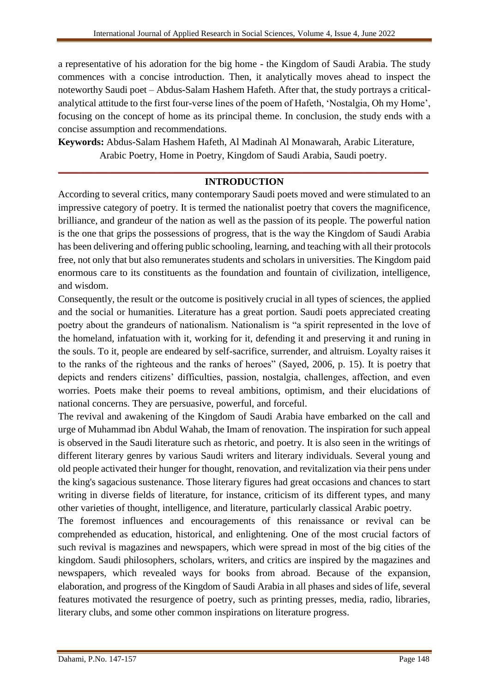a representative of his adoration for the big home - the Kingdom of Saudi Arabia. The study commences with a concise introduction. Then, it analytically moves ahead to inspect the noteworthy Saudi poet – Abdus-Salam Hashem Hafeth. After that, the study portrays a criticalanalytical attitude to the first four-verse lines of the poem of Hafeth, 'Nostalgia, Oh my Home', focusing on the concept of home as its principal theme. In conclusion, the study ends with a concise assumption and recommendations.

**Keywords:** Abdus-Salam Hashem Hafeth, Al Madinah Al Monawarah, Arabic Literature, Arabic Poetry, Home in Poetry, Kingdom of Saudi Arabia, Saudi poetry.

## **\_\_\_\_\_\_\_\_\_\_\_\_\_\_\_\_\_\_\_\_\_\_\_\_\_\_\_\_\_\_\_\_\_\_\_\_\_\_\_\_\_\_\_\_\_\_\_\_\_\_\_\_\_\_\_\_\_\_\_\_\_\_\_\_\_\_\_\_\_\_\_\_\_\_\_ INTRODUCTION**

According to several critics, many contemporary Saudi poets moved and were stimulated to an impressive category of poetry. It is termed the nationalist poetry that covers the magnificence, brilliance, and grandeur of the nation as well as the passion of its people. The powerful nation is the one that grips the possessions of progress, that is the way the Kingdom of Saudi Arabia has been delivering and offering public schooling, learning, and teaching with all their protocols free, not only that but also remunerates students and scholars in universities. The Kingdom paid enormous care to its constituents as the foundation and fountain of civilization, intelligence, and wisdom.

Consequently, the result or the outcome is positively crucial in all types of sciences, the applied and the social or humanities. Literature has a great portion. Saudi poets appreciated creating poetry about the grandeurs of nationalism. Nationalism is "a spirit represented in the love of the homeland, infatuation with it, working for it, defending it and preserving it and runing in the souls. To it, people are endeared by self-sacrifice, surrender, and altruism. Loyalty raises it to the ranks of the righteous and the ranks of heroes" (Sayed, 2006, p. 15). It is poetry that depicts and renders citizens' difficulties, passion, nostalgia, challenges, affection, and even worries. Poets make their poems to reveal ambitions, optimism, and their elucidations of national concerns. They are persuasive, powerful, and forceful.

The revival and awakening of the Kingdom of Saudi Arabia have embarked on the call and urge of Muhammad ibn Abdul Wahab, the Imam of renovation. The inspiration for such appeal is observed in the Saudi literature such as rhetoric, and poetry. It is also seen in the writings of different literary genres by various Saudi writers and literary individuals. Several young and old people activated their hunger for thought, renovation, and revitalization via their pens under the king's sagacious sustenance. Those literary figures had great occasions and chances to start writing in diverse fields of literature, for instance, criticism of its different types, and many other varieties of thought, intelligence, and literature, particularly classical Arabic poetry.

The foremost influences and encouragements of this renaissance or revival can be comprehended as education, historical, and enlightening. One of the most crucial factors of such revival is magazines and newspapers, which were spread in most of the big cities of the kingdom. Saudi philosophers, scholars, writers, and critics are inspired by the magazines and newspapers, which revealed ways for books from abroad. Because of the expansion, elaboration, and progress of the Kingdom of Saudi Arabia in all phases and sides of life, several features motivated the resurgence of poetry, such as printing presses, media, radio, libraries, literary clubs, and some other common inspirations on literature progress.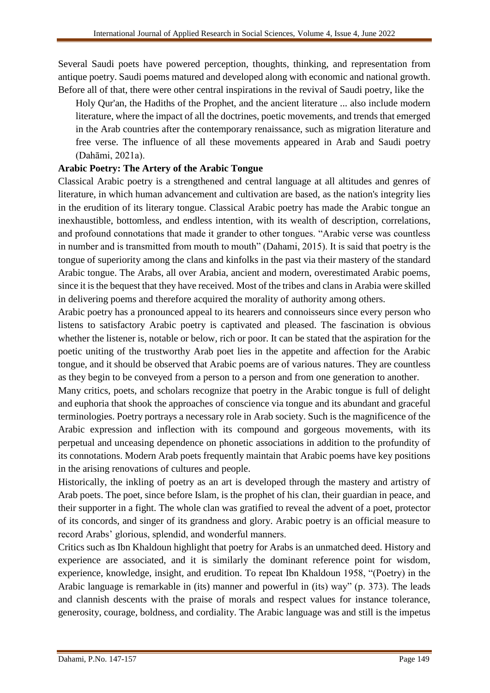Several Saudi poets have powered perception, thoughts, thinking, and representation from antique poetry. Saudi poems matured and developed along with economic and national growth. Before all of that, there were other central inspirations in the revival of Saudi poetry, like the

Holy Qur'an, the Hadiths of the Prophet, and the ancient literature ... also include modern literature, where the impact of all the doctrines, poetic movements, and trends that emerged in the Arab countries after the contemporary renaissance, such as migration literature and free verse. The influence of all these movements appeared in Arab and Saudi poetry (Dahāmi, 2021a).

## **Arabic Poetry: The Artery of the Arabic Tongue**

Classical Arabic poetry is a strengthened and central language at all altitudes and genres of literature, in which human advancement and cultivation are based, as the nation's integrity lies in the erudition of its literary tongue. Classical Arabic poetry has made the Arabic tongue an inexhaustible, bottomless, and endless intention, with its wealth of description, correlations, and profound connotations that made it grander to other tongues. "Arabic verse was countless in number and is transmitted from mouth to mouth" (Dahami, 2015). It is said that poetry is the tongue of superiority among the clans and kinfolks in the past via their mastery of the standard Arabic tongue. The Arabs, all over Arabia, ancient and modern, overestimated Arabic poems, since it is the bequest that they have received. Most of the tribes and clans in Arabia were skilled in delivering poems and therefore acquired the morality of authority among others.

Arabic poetry has a pronounced appeal to its hearers and connoisseurs since every person who listens to satisfactory Arabic poetry is captivated and pleased. The fascination is obvious whether the listener is, notable or below, rich or poor. It can be stated that the aspiration for the poetic uniting of the trustworthy Arab poet lies in the appetite and affection for the Arabic tongue, and it should be observed that Arabic poems are of various natures. They are countless as they begin to be conveyed from a person to a person and from one generation to another.

Many critics, poets, and scholars recognize that poetry in the Arabic tongue is full of delight and euphoria that shook the approaches of conscience via tongue and its abundant and graceful terminologies. Poetry portrays a necessary role in Arab society. Such is the magnificence of the Arabic expression and inflection with its compound and gorgeous movements, with its perpetual and unceasing dependence on phonetic associations in addition to the profundity of its connotations. Modern Arab poets frequently maintain that Arabic poems have key positions in the arising renovations of cultures and people.

Historically, the inkling of poetry as an art is developed through the mastery and artistry of Arab poets. The poet, since before Islam, is the prophet of his clan, their guardian in peace, and their supporter in a fight. The whole clan was gratified to reveal the advent of a poet, protector of its concords, and singer of its grandness and glory. Arabic poetry is an official measure to record Arabs' glorious, splendid, and wonderful manners.

Critics such as Ibn Khaldoun highlight that poetry for Arabs is an unmatched deed. History and experience are associated, and it is similarly the dominant reference point for wisdom, experience, knowledge, insight, and erudition. To repeat Ibn Khaldoun 1958, "(Poetry) in the Arabic language is remarkable in (its) manner and powerful in (its) way" (p. 373). The leads and clannish descents with the praise of morals and respect values for instance tolerance, generosity, courage, boldness, and cordiality. The Arabic language was and still is the impetus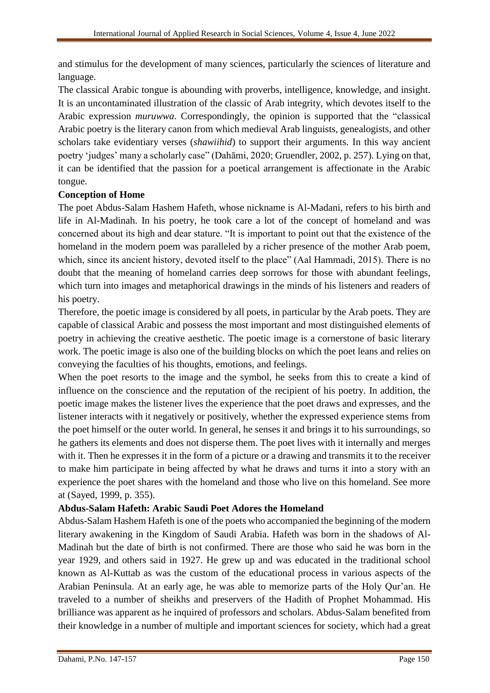and stimulus for the development of many sciences, particularly the sciences of literature and language.

The classical Arabic tongue is abounding with proverbs, intelligence, knowledge, and insight. It is an uncontaminated illustration of the classic of Arab integrity, which devotes itself to the Arabic expression *muruwwa*. Correspondingly, the opinion is supported that the "classical Arabic poetry is the literary canon from which medieval Arab linguists, genealogists, and other scholars take evidentiary verses (*shawiihid*) to support their arguments. In this way ancient poetry 'judges' many a scholarly case" (Dahāmi, 2020; Gruendler, 2002, p. 257). Lying on that, it can be identified that the passion for a poetical arrangement is affectionate in the Arabic tongue.

## **Conception of Home**

The poet Abdus-Salam Hashem Hafeth, whose nickname is Al-Madani, refers to his birth and life in Al-Madinah. In his poetry, he took care a lot of the concept of homeland and was concerned about its high and dear stature. "It is important to point out that the existence of the homeland in the modern poem was paralleled by a richer presence of the mother Arab poem, which, since its ancient history, devoted itself to the place" (Aal Hammadi, 2015). There is no doubt that the meaning of homeland carries deep sorrows for those with abundant feelings, which turn into images and metaphorical drawings in the minds of his listeners and readers of his poetry.

Therefore, the poetic image is considered by all poets, in particular by the Arab poets. They are capable of classical Arabic and possess the most important and most distinguished elements of poetry in achieving the creative aesthetic. The poetic image is a cornerstone of basic literary work. The poetic image is also one of the building blocks on which the poet leans and relies on conveying the faculties of his thoughts, emotions, and feelings.

When the poet resorts to the image and the symbol, he seeks from this to create a kind of influence on the conscience and the reputation of the recipient of his poetry. In addition, the poetic image makes the listener lives the experience that the poet draws and expresses, and the listener interacts with it negatively or positively, whether the expressed experience stems from the poet himself or the outer world. In general, he senses it and brings it to his surroundings, so he gathers its elements and does not disperse them. The poet lives with it internally and merges with it. Then he expresses it in the form of a picture or a drawing and transmits it to the receiver to make him participate in being affected by what he draws and turns it into a story with an experience the poet shares with the homeland and those who live on this homeland. See more at (Sayed, 1999, p. 355).

## **Abdus-Salam Hafeth: Arabic Saudi Poet Adores the Homeland**

Abdus-Salam Hashem Hafeth is one of the poets who accompanied the beginning of the modern literary awakening in the Kingdom of Saudi Arabia. Hafeth was born in the shadows of Al-Madinah but the date of birth is not confirmed. There are those who said he was born in the year 1929, and others said in 1927. He grew up and was educated in the traditional school known as Al-Kuttab as was the custom of the educational process in various aspects of the Arabian Peninsula. At an early age, he was able to memorize parts of the Holy Qur'an. He traveled to a number of sheikhs and preservers of the Hadith of Prophet Mohammad. His brilliance was apparent as he inquired of professors and scholars. Abdus-Salam benefited from their knowledge in a number of multiple and important sciences for society, which had a great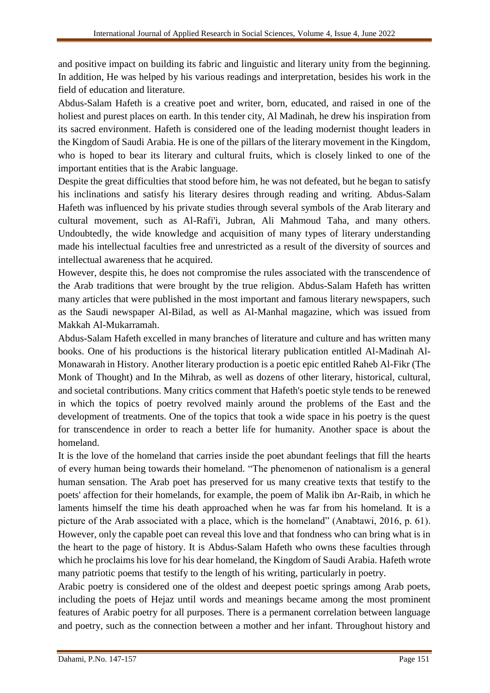and positive impact on building its fabric and linguistic and literary unity from the beginning. In addition, He was helped by his various readings and interpretation, besides his work in the field of education and literature.

Abdus-Salam Hafeth is a creative poet and writer, born, educated, and raised in one of the holiest and purest places on earth. In this tender city, Al Madinah, he drew his inspiration from its sacred environment. Hafeth is considered one of the leading modernist thought leaders in the Kingdom of Saudi Arabia. He is one of the pillars of the literary movement in the Kingdom, who is hoped to bear its literary and cultural fruits, which is closely linked to one of the important entities that is the Arabic language.

Despite the great difficulties that stood before him, he was not defeated, but he began to satisfy his inclinations and satisfy his literary desires through reading and writing. Abdus-Salam Hafeth was influenced by his private studies through several symbols of the Arab literary and cultural movement, such as Al-Rafi'i, Jubran, Ali Mahmoud Taha, and many others. Undoubtedly, the wide knowledge and acquisition of many types of literary understanding made his intellectual faculties free and unrestricted as a result of the diversity of sources and intellectual awareness that he acquired.

However, despite this, he does not compromise the rules associated with the transcendence of the Arab traditions that were brought by the true religion. Abdus-Salam Hafeth has written many articles that were published in the most important and famous literary newspapers, such as the Saudi newspaper Al-Bilad, as well as Al-Manhal magazine, which was issued from Makkah Al-Mukarramah.

Abdus-Salam Hafeth excelled in many branches of literature and culture and has written many books. One of his productions is the historical literary publication entitled Al-Madinah Al-Monawarah in History. Another literary production is a poetic epic entitled Raheb Al-Fikr (The Monk of Thought) and In the Mihrab, as well as dozens of other literary, historical, cultural, and societal contributions. Many critics comment that Hafeth's poetic style tends to be renewed in which the topics of poetry revolved mainly around the problems of the East and the development of treatments. One of the topics that took a wide space in his poetry is the quest for transcendence in order to reach a better life for humanity. Another space is about the homeland.

It is the love of the homeland that carries inside the poet abundant feelings that fill the hearts of every human being towards their homeland. "The phenomenon of nationalism is a general human sensation. The Arab poet has preserved for us many creative texts that testify to the poets' affection for their homelands, for example, the poem of Malik ibn Ar-Raib, in which he laments himself the time his death approached when he was far from his homeland. It is a picture of the Arab associated with a place, which is the homeland" (Anabtawi, 2016, p. 61). However, only the capable poet can reveal this love and that fondness who can bring what is in the heart to the page of history. It is Abdus-Salam Hafeth who owns these faculties through which he proclaims his love for his dear homeland, the Kingdom of Saudi Arabia. Hafeth wrote many patriotic poems that testify to the length of his writing, particularly in poetry.

Arabic poetry is considered one of the oldest and deepest poetic springs among Arab poets, including the poets of Hejaz until words and meanings became among the most prominent features of Arabic poetry for all purposes. There is a permanent correlation between language and poetry, such as the connection between a mother and her infant. Throughout history and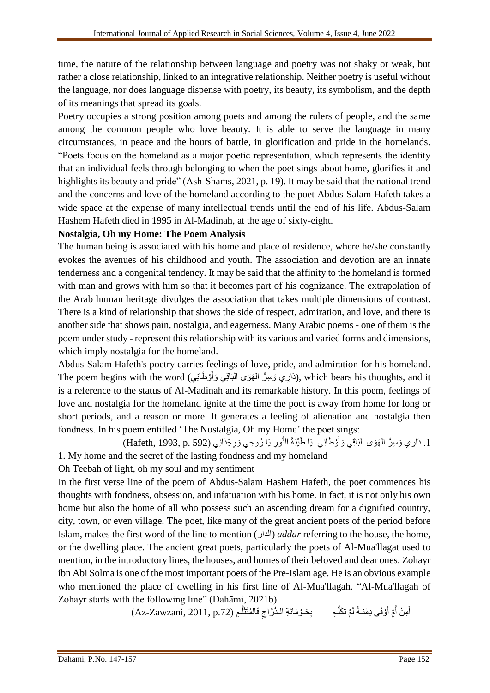time, the nature of the relationship between language and poetry was not shaky or weak, but rather a close relationship, linked to an integrative relationship. Neither poetry is useful without the language, nor does language dispense with poetry, its beauty, its symbolism, and the depth of its meanings that spread its goals.

Poetry occupies a strong position among poets and among the rulers of people, and the same among the common people who love beauty. It is able to serve the language in many circumstances, in peace and the hours of battle, in glorification and pride in the homelands. "Poets focus on the homeland as a major poetic representation, which represents the identity that an individual feels through belonging to when the poet sings about home, glorifies it and highlights its beauty and pride" (Ash-Shams, 2021, p. 19). It may be said that the national trend and the concerns and love of the homeland according to the poet Abdus-Salam Hafeth takes a wide space at the expense of many intellectual trends until the end of his life. Abdus-Salam Hashem Hafeth died in 1995 in Al-Madinah, at the age of sixty-eight.

### **Nostalgia, Oh my Home: The Poem Analysis**

The human being is associated with his home and place of residence, where he/she constantly evokes the avenues of his childhood and youth. The association and devotion are an innate tenderness and a congenital tendency. It may be said that the affinity to the homeland is formed with man and grows with him so that it becomes part of his cognizance. The extrapolation of the Arab human heritage divulges the association that takes multiple dimensions of contrast. There is a kind of relationship that shows the side of respect, admiration, and love, and there is another side that shows pain, nostalgia, and eagerness. Many Arabic poems - one of them is the poem under study - represent this relationship with its various and varied forms and dimensions, which imply nostalgia for the homeland.

Abdus-Salam Hafeth's poetry carries feelings of love, pride, and admiration for his homeland. The poem begins with the word (دَارِي وَسِرُّ الْمَهَوَى الْبَاقِي وَأَوْطَانِي), which bears his thoughts, and it َ is a reference to the status of Al-Madinah and its remarkable history. In this poem, feelings of love and nostalgia for the homeland ignite at the time the poet is away from home for long or short periods, and a reason or more. It generates a feeling of alienation and nostalgia then fondness. In his poem entitled 'The Nostalgia, Oh my Home' the poet sings:

1. دَارِي وَسِرُّ الْهَوَى الْبَاقِي وَأَوْطَانِي يَا طَيْبَةَ النُّورِ يَا رُوحِي وَوِجْدَانِي (Hafeth, 1993, p. 592) َ 1. My home and the secret of the lasting fondness and my homeland

Oh Teebah of light, oh my soul and my sentiment

In the first verse line of the poem of Abdus-Salam Hashem Hafeth, the poet commences his thoughts with fondness, obsession, and infatuation with his home. In fact, it is not only his own home but also the home of all who possess such an ascending dream for a dignified country, city, town, or even village. The poet, like many of the great ancient poets of the period before Islam, makes the first word of the line to mention (الدار (*addar* referring to the house, the home, or the dwelling place. The ancient great poets, particularly the poets of Al-Mua'llagat used to mention, in the introductory lines, the houses, and homes of their beloved and dear ones. Zohayr ibn Abi Solma is one of the most important poets of the Pre-Islam age. He is an obvious example who mentioned the place of dwelling in his first line of Al-Mua'llagah. "Al-Mua'llagah of Zohayr starts with the following line" (Dahāmi, 2021b).

> أَمِنْ أُمِّ أَوْفَى دِمْنَـةٌ لَمْ تَكَلَّـمِ بِحَـوْمَانَةِ الـدُّرَّاجِ فَالمُتَثَلَّـمِ (Az-Zawzani, 2011, p.72) َّ لَ َ ان<br>المعالمية َّ ِ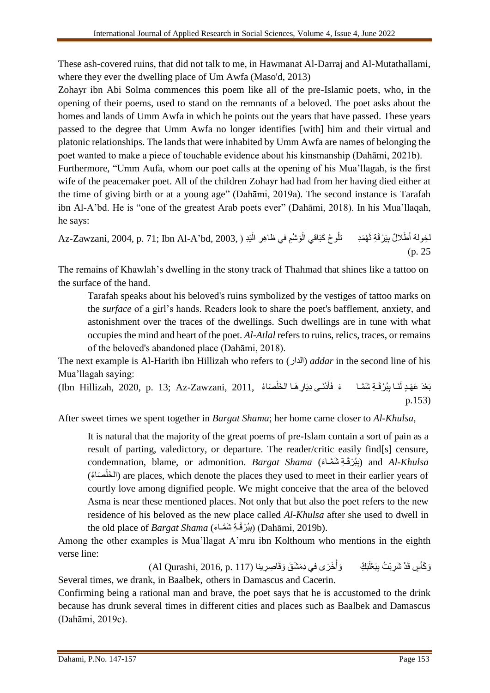These ash-covered ruins, that did not talk to me, in Hawmanat Al-Darraj and Al-Mutathallami, where they ever the dwelling place of Um Awfa (Maso'd, 2013)

Zohayr ibn Abi Solma commences this poem like all of the pre-Islamic poets, who, in the opening of their poems, used to stand on the remnants of a beloved. The poet asks about the homes and lands of Umm Awfa in which he points out the years that have passed. These years passed to the degree that Umm Awfa no longer identifies [with] him and their virtual and platonic relationships. The lands that were inhabited by Umm Awfa are names of belonging the poet wanted to make a piece of touchable evidence about his kinsmanship (Dahāmi, 2021b).

Furthermore, "Umm Aufa, whom our poet calls at the opening of his Mua'llagah, is the first wife of the peacemaker poet. All of the children Zohayr had had from her having died either at the time of giving birth or at a young age" (Dahāmi, 2019a). The second instance is Tarafah ibn Al-A'bd. He is "one of the greatest Arab poets ever" (Dahāmi, 2018). In his Mua'llaqah, he says:

لْخِولة أَطْلالٌ بِيَرْقَةِ نَّهْمَدِ تَلُوحُ كَبَاقي الْوَسْمِ في ظاهِرِ الْبَدِ ( ,Az-Zawzani, 2004, p. 71; Ibn Al-A'bd, 2003 ْ ْ  $(p. 25)$ 

The remains of Khawlah's dwelling in the stony track of Thahmad that shines like a tattoo on the surface of the hand.

Tarafah speaks about his beloved's ruins symbolized by the vestiges of tattoo marks on the *surface* of a girl's hands. Readers look to share the poet's bafflement, anxiety, and astonishment over the traces of the dwellings. Such dwellings are in tune with what occupies the mind and heart of the poet. *Al-Atlal* refers to ruins, relics, traces, or remains of the beloved's abandoned place (Dahāmi, 2018).

The next example is Al-Harith ibn Hillizah who refers to (الدار (*addar* in the second line of his Mua'llagah saying:

بَعْدَ عَهْدٍ لَنَـا بِبُرْقَـةِ شَمَّـا ۖ ءَ فَأَدْنَـى دِيَارِ هَـا الخَلْصَاءُ ,13; Az-Zawzani, 2011, (الخَلْصَاء َ َ p.153)

After sweet times we spent together in *Bargat Shama*; her home came closer to *Al-Khulsa*,

It is natural that the majority of the great poems of pre-Islam contain a sort of pain as a result of parting, valedictory, or departure. The reader/critic easily find[s] censure, condemnation, blame, or admonition. *Bargat Shama (بِ*بُرْقَةِ شَمَّـاءَ) and *Al-Khulsa* َصا ُء) خلَ ال (are places, which denote the places they used to meet in their earlier years of ْ courtly love among dignified people. We might conceive that the area of the beloved Asma is near these mentioned places. Not only that but also the poet refers to the new residence of his beloved as the new place called *Al-Khulsa* after she used to dwell in the old place of *Bargat Shama* (بِبُرْفَةِ شَمَّـاءَ) (Dahāmi, 2019b).

Among the other examples is Mua'llagat A'mru ibn Kolthoum who mentions in the eighth verse line:

> وَكَأْسٍ قَدْ شَرِبْتُ بِبَعْلَبَكِّ بِبَعْلَبَكِّ وَأَخْرَى في دِمَثْنَىَ وَقَاصِرِينا (Al Qurashi, 2016, p. 117) ابل<br>ا

Several times, we drank, in Baalbek, others in Damascus and Cacerin.

Confirming being a rational man and brave, the poet says that he is accustomed to the drink because has drunk several times in different cities and places such as Baalbek and Damascus (Dahāmi, 2019c).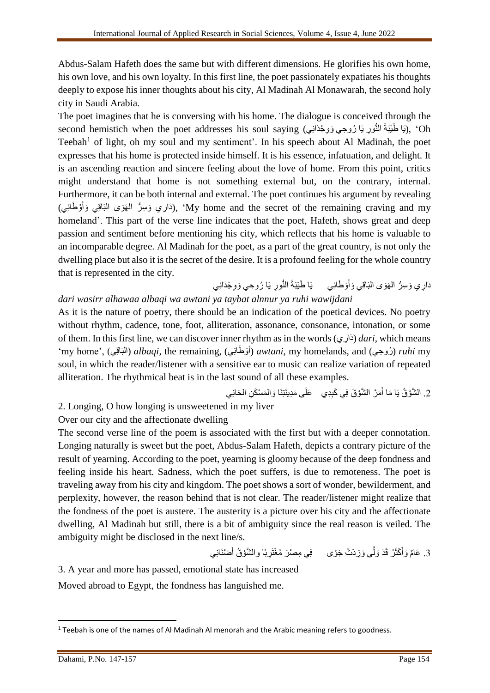Abdus-Salam Hafeth does the same but with different dimensions. He glorifies his own home, his own love, and his own loyalty. In this first line, the poet passionately expatiates his thoughts deeply to expose his inner thoughts about his city, Al Madinah Al Monawarah, the second holy city in Saudi Arabia.

The poet imagines that he is conversing with his home. The dialogue is conceived through the second hemistich when the poet addresses his soul saying (يَا طَنِيَةَ النُّورِ يَا رُوحِي وَوِجْدَانِي), 'Oh Teebah<sup>1</sup> of light, oh my soul and my sentiment'. In his speech about Al Madinah, the poet expresses that his home is protected inside himself. It is his essence, infatuation, and delight. It is an ascending reaction and sincere feeling about the love of home. From this point, critics might understand that home is not something external but, on the contrary, internal. Furthermore, it can be both internal and external. The poet continues his argument by revealing (دَارِي وَسِرُّ الْهَوَى الْبَاقِي وَأَوْطَانِي), 'My home and the secret of the remaining craving and my اً homeland'. This part of the verse line indicates that the poet, Hafeth, shows great and deep passion and sentiment before mentioning his city, which reflects that his home is valuable to an incomparable degree. Al Madinah for the poet, as a part of the great country, is not only the dwelling place but also it is the secret of the desire. It is a profound feeling for the whole country that is represented in the city.

َو ي ال البَاقِي َو َهَوى دَا ِس ُّر ِري ْو َطانِ َ أ يَا َو ِو النُّو ِر يَا ُرو ِحي ْجدَانِي َطْيبَةَ *dari wasirr alhawaa albaqi wa awtani ya taybat alnnur ya ruhi wawijdani*

As it is the nature of poetry, there should be an indication of the poetical devices. No poetry without rhythm, cadence, tone, foot, alliteration, assonance, consonance, intonation, or some of them. In this first line, we can discover inner rhythm as in the words (دَارِي) *dari*, which means ْو َطانِي) ,remaining the ,*albaqi*) البَاقِي) ,'home my' أ (*awtani*, my homelands, and (حيِ روُ ( *ruhi* my soul, in which the reader/listener with a sensitive ear to music can realize variation of repeated alliteration. The rhythmical beat is in the last sound of all these examples.

َحانِي َم ْس َك ِن ال َوال َمَّر ال َّشْو َق فِي َكِبِدي َعلَى َمِدينَتِنَا َ َما أ .2 ال َّشْو ُق يَا

2. Longing, O how longing is unsweetened in my liver

## Over our city and the affectionate dwelling

The second verse line of the poem is associated with the first but with a deeper connotation. Longing naturally is sweet but the poet, Abdus-Salam Hafeth, depicts a contrary picture of the result of yearning. According to the poet, yearning is gloomy because of the deep fondness and feeling inside his heart. Sadness, which the poet suffers, is due to remoteness. The poet is traveling away from his city and kingdom. The poet shows a sort of wonder, bewilderment, and perplexity, however, the reason behind that is not clear. The reader/listener might realize that the fondness of the poet is austere. The austerity is a picture over his city and the affectionate dwelling, Al Madinah but still, there is a bit of ambiguity since the real reason is veiled. The ambiguity might be disclosed in the next line/s.

> 3. عَامٌ وَأَكْثَرُ قَدْ وَلَّى وَزِدْتُ جَوًى ۚ فِي مِصْرَ مُغْتَرِبًا والشَّوْقُ أَصْنَانِي َ

3. A year and more has passed, emotional state has increased Moved abroad to Egypt, the fondness has languished me.

 $\overline{\phantom{a}}$  $1$  Teebah is one of the names of Al Madinah Al menorah and the Arabic meaning refers to goodness.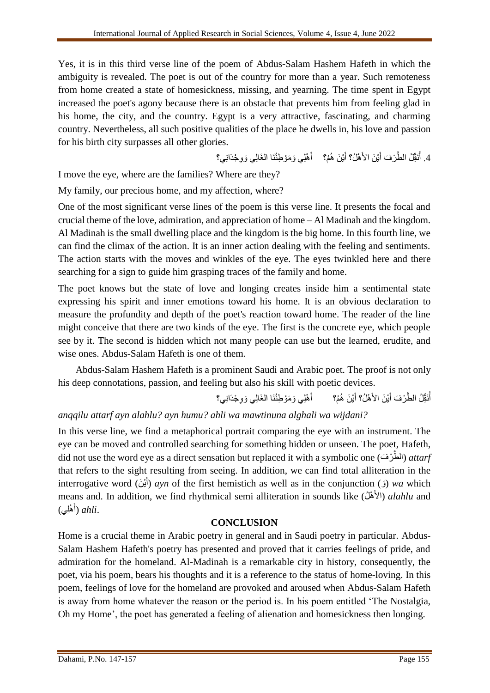Yes, it is in this third verse line of the poem of Abdus-Salam Hashem Hafeth in which the ambiguity is revealed. The poet is out of the country for more than a year. Such remoteness from home created a state of homesickness, missing, and yearning. The time spent in Egypt increased the poet's agony because there is an obstacle that prevents him from feeling glad in his home, the city, and the country. Egypt is a very attractive, fascinating, and charming country. Nevertheless, all such positive qualities of the place he dwells in, his love and passion for his birth city surpasses all other glories.

> 4. أُنَقِّلُ الطَّرْفَ أَيْنَ الأَهْلُ؟ أَيْنَ هُمْ؟ ﴿ أَهْلِي وَمَوْطِنُنَا الغَالِي وَوِجْدَانِي؟ ُ اً<br>ا

I move the eye, where are the families? Where are they?

My family, our precious home, and my affection, where?

One of the most significant verse lines of the poem is this verse line. It presents the focal and crucial theme of the love, admiration, and appreciation of home – Al Madinah and the kingdom. Al Madinah is the small dwelling place and the kingdom is the big home. In this fourth line, we can find the climax of the action. It is an inner action dealing with the feeling and sentiments. The action starts with the moves and winkles of the eye. The eyes twinkled here and there searching for a sign to guide him grasping traces of the family and home.

The poet knows but the state of love and longing creates inside him a sentimental state expressing his spirit and inner emotions toward his home. It is an obvious declaration to measure the profundity and depth of the poet's reaction toward home. The reader of the line might conceive that there are two kinds of the eye. The first is the concrete eye, which people see by it. The second is hidden which not many people can use but the learned, erudite, and wise ones. Abdus-Salam Hafeth is one of them.

Abdus-Salam Hashem Hafeth is a prominent Saudi and Arabic poet. The proof is not only his deep connotations, passion, and feeling but also his skill with poetic devices.

> أَنَقِّلُ الطَّرْفَ أَيْنَ الأَهْلُ؟ أَيْنَ هُمُ؟ ۚ أَهْلِي ُ ا<br>ا أَهْلِي وَمَوْطِنُنَا الغَالِي وَوِجْدَانِي؟

# *anqqilu attarf ayn alahlu? ayn humu? ahli wa mawtinuna alghali wa wijdani?*

In this verse line, we find a metaphorical portrait comparing the eye with an instrument. The eye can be moved and controlled searching for something hidden or unseen. The poet, Hafeth, did not use the word eye as a direct sensation but replaced it with a symbolic one (الطَّرْفَ) *attarf* that refers to the sight resulting from seeing. In addition, we can find total alliteration in the interrogative word (أَيْنَ) ayn of the first hemistich as well as in the conjunction (j) wa which َ means and. In addition, we find rhythmical semi alliteration in sounds like (الأَهْلُ) *alahlu* and ْهِلي) .*ahli*) أ َ

### **CONCLUSION**

Home is a crucial theme in Arabic poetry in general and in Saudi poetry in particular. Abdus-Salam Hashem Hafeth's poetry has presented and proved that it carries feelings of pride, and admiration for the homeland. Al-Madinah is a remarkable city in history, consequently, the poet, via his poem, bears his thoughts and it is a reference to the status of home-loving. In this poem, feelings of love for the homeland are provoked and aroused when Abdus-Salam Hafeth is away from home whatever the reason or the period is. In his poem entitled 'The Nostalgia, Oh my Home', the poet has generated a feeling of alienation and homesickness then longing.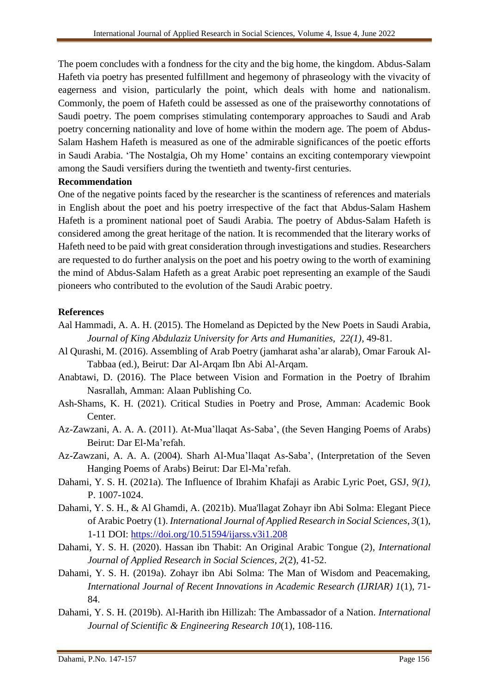The poem concludes with a fondness for the city and the big home, the kingdom. Abdus-Salam Hafeth via poetry has presented fulfillment and hegemony of phraseology with the vivacity of eagerness and vision, particularly the point, which deals with home and nationalism. Commonly, the poem of Hafeth could be assessed as one of the praiseworthy connotations of Saudi poetry. The poem comprises stimulating contemporary approaches to Saudi and Arab poetry concerning nationality and love of home within the modern age. The poem of Abdus-Salam Hashem Hafeth is measured as one of the admirable significances of the poetic efforts in Saudi Arabia. 'The Nostalgia, Oh my Home' contains an exciting contemporary viewpoint among the Saudi versifiers during the twentieth and twenty-first centuries.

#### **Recommendation**

One of the negative points faced by the researcher is the scantiness of references and materials in English about the poet and his poetry irrespective of the fact that Abdus-Salam Hashem Hafeth is a prominent national poet of Saudi Arabia. The poetry of Abdus-Salam Hafeth is considered among the great heritage of the nation. It is recommended that the literary works of Hafeth need to be paid with great consideration through investigations and studies. Researchers are requested to do further analysis on the poet and his poetry owing to the worth of examining the mind of Abdus-Salam Hafeth as a great Arabic poet representing an example of the Saudi pioneers who contributed to the evolution of the Saudi Arabic poetry.

#### **References**

- Aal Hammadi, A. A. H. (2015). The Homeland as Depicted by the New Poets in Saudi Arabia, *Journal of King Abdulaziz University for Arts and Humanities, 22(1)*, 49-81.
- Al Qurashi, M. (2016). Assembling of Arab Poetry (jamharat asha'ar alarab), Omar Farouk Al-Tabbaa (ed.), Beirut: Dar Al-Arqam Ibn Abi Al-Arqam.
- Anabtawi, D. (2016). The Place between Vision and Formation in the Poetry of Ibrahim Nasrallah, Amman: Alaan Publishing Co.
- Ash-Shams, K. H. (2021). Critical Studies in Poetry and Prose, Amman: Academic Book Center.
- Az-Zawzani, A. A. A. (2011). At-Mua'llaqat As-Saba', (the Seven Hanging Poems of Arabs) Beirut: Dar El-Ma'refah.
- Az-Zawzani, A. A. A. (2004). Sharh Al-Mua'llaqat As-Saba', (Interpretation of the Seven Hanging Poems of Arabs) Beirut: Dar El-Ma'refah.
- Dahami, Y. S. H. (2021a). The Influence of Ibrahim Khafaji as Arabic Lyric Poet, GSJ, *9(1)*, P. 1007-1024.
- Dahami, Y. S. H., & Al Ghamdi, A. (2021b). Mua'llagat Zohayr ibn Abi Solma: Elegant Piece of Arabic Poetry (1). *International Journal of Applied Research in Social Sciences*, *3*(1), 1-11 DOI:<https://doi.org/10.51594/ijarss.v3i1.208>
- Dahami, Y. S. H. (2020). Hassan ibn Thabit: An Original Arabic Tongue (2), *International Journal of Applied Research in Social Sciences, 2*(2), 41-52.
- Dahami, Y. S. H. (2019a). Zohayr ibn Abi Solma: The Man of Wisdom and Peacemaking, *International Journal of Recent Innovations in Academic Research (IJRIAR) 1*(1), 71- 84.
- Dahami, Y. S. H. (2019b). Al-Harith ibn Hillizah: The Ambassador of a Nation. *International Journal of Scientific & Engineering Research 10*(1), 108-116.